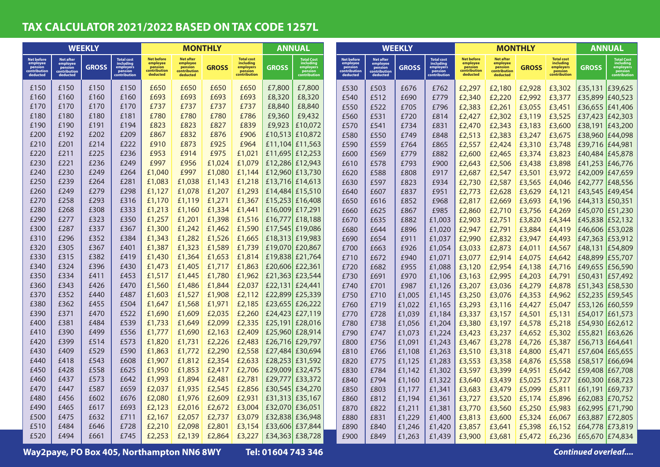## **TAX CALCULATOR 2021/2022 BASED ON TAX CODE 1257L**

| <b>WEEKLY</b>                                                        |                                                                     |              |                                                                 | <b>MONTHLY</b>                                                       |                                                                     |              | <b>ANNUAL</b>                                                          |              | <b>WEEKLY</b>                                                   |  |                                                                      |                                                              | <b>MONTHLY</b> |                                                                 |                                                                      | <b>ANNUAL</b>                                                       |              |                                                                        |                 |                                                                 |
|----------------------------------------------------------------------|---------------------------------------------------------------------|--------------|-----------------------------------------------------------------|----------------------------------------------------------------------|---------------------------------------------------------------------|--------------|------------------------------------------------------------------------|--------------|-----------------------------------------------------------------|--|----------------------------------------------------------------------|--------------------------------------------------------------|----------------|-----------------------------------------------------------------|----------------------------------------------------------------------|---------------------------------------------------------------------|--------------|------------------------------------------------------------------------|-----------------|-----------------------------------------------------------------|
| <b>Net before</b><br>employee<br>pension<br>contribution<br>deducted | <b>Net after</b><br>employee<br>pension<br>contribution<br>deducted | <b>GROSS</b> | Total cost<br>including<br>employers<br>pension<br>contribution | <b>Net before</b><br>employee<br>pension<br>contribution<br>deducted | <b>Net after</b><br>employee<br>pension<br>contribution<br>deducted | <b>GROSS</b> | <b>Total cost</b><br>including<br>employers<br>pension<br>contributior | <b>GROSS</b> | Total Cost<br>including<br>employers<br>pension<br>contributior |  | <b>Net before</b><br>employee<br>pension<br>contribution<br>deducted | Net after<br>employee<br>pension<br>contribution<br>deducted | <b>GROSS</b>   | Total cost<br>including<br>employers<br>pension<br>contribution | <b>Net before</b><br>employee<br>pension<br>contribution<br>deducted | <b>Net after</b><br>employee<br>pension<br>contribution<br>deducted | <b>GROSS</b> | <b>Total cost</b><br>including<br>employers<br>pension<br>contribution | GROSS           | Total Cost<br>including<br>employers<br>pension<br>contribution |
| £150                                                                 | £150                                                                | £150         | £150                                                            | £650                                                                 | £650                                                                | £650         | £650                                                                   | £7,800       | £7,800                                                          |  | £530                                                                 | £503                                                         | £676           | £762                                                            | £2,297                                                               | £2,180                                                              | £2,928       | £3,302                                                                 | £35,131         | £39,625                                                         |
| £160                                                                 | £160                                                                | £160         | £160                                                            | £693                                                                 | £693                                                                | £693         | £693                                                                   | £8,320       | £8,320                                                          |  | £540                                                                 | £512                                                         | £690           | £779                                                            | £2,340                                                               | £2,220                                                              | £2,992       | £3,377                                                                 | £35,899         | £40,523                                                         |
| £170                                                                 | £170                                                                | £170         | £170                                                            | £737                                                                 | £737                                                                | £737         | £737                                                                   | £8,840       | £8,840                                                          |  | £550                                                                 | £522                                                         | £705           | £796                                                            | £2,383                                                               | £2,261                                                              | £3,055       | £3,451                                                                 | £36,655         | £41,406                                                         |
| £180                                                                 | £180                                                                | £180         | £181                                                            | £780                                                                 | £780                                                                | £780         | £786                                                                   | £9,360       | £9,432                                                          |  | £560                                                                 | £531                                                         | £720           | £814                                                            | £2,427                                                               | £2,302                                                              | £3,119       | £3,525                                                                 | £37,423         | £42,303                                                         |
| £190                                                                 | £190                                                                | £191         | £194                                                            | £823                                                                 | £823                                                                | £827         | £839                                                                   | £9,923       | £10.072                                                         |  | £570                                                                 | £541                                                         | £734           | £831                                                            | £2,470                                                               | £2,343                                                              | £3,183       | £3,600                                                                 | £38,191 £43,200 |                                                                 |
| £200                                                                 | £192                                                                | £202         | £209                                                            | £867                                                                 | £832                                                                | £876         | £906                                                                   |              | £10,513 £10,872                                                 |  | £580                                                                 | £550                                                         | £749           | £848                                                            | £2,513                                                               | £2,383                                                              | £3,247       | £3,675                                                                 | £38,960         | £44,098                                                         |
| £210                                                                 | £201                                                                | £214         | £222                                                            | £910                                                                 | £873                                                                | £925         | £964                                                                   |              | £11,104 £11,563                                                 |  | £590                                                                 | £559                                                         | £764           | £865                                                            | £2,557                                                               | £2,424                                                              | £3,310       | £3,748                                                                 | £39,716         | £44,981                                                         |
| £220                                                                 | £211                                                                | £225         | £236                                                            | £953                                                                 | £914                                                                | £975         | £1,021                                                                 |              | £11,695 £12,253                                                 |  | £600                                                                 | £569                                                         | £779           | £882                                                            | £2,600                                                               | £2,465                                                              | £3,374       | £3,823                                                                 | £40,484 £45,878 |                                                                 |
| £230                                                                 | £221                                                                | £236         | £249                                                            | £997                                                                 | £956                                                                | £1,024       | £1,079                                                                 |              | £12,286 £12,943                                                 |  | £610                                                                 | £578                                                         | £793           | £900                                                            | £2,643                                                               | £2,506                                                              | £3,438       | £3,898                                                                 | £41,253 £46,776 |                                                                 |
| £240                                                                 | £230                                                                | £249         | £264                                                            | £1,040                                                               | £997                                                                | £1,080       | £1,144                                                                 |              | £12,960 £13,730                                                 |  | £620                                                                 | £588                                                         | £808           | £917                                                            | £2,687                                                               | £2,547                                                              | £3,501       | £3,972                                                                 | £42,009         | £47,659                                                         |
| £250                                                                 | £239                                                                | £264         | £281                                                            | £1,083                                                               | £1,038                                                              | £1,143       | £1,218                                                                 |              | £13,716 £14,613                                                 |  | £630                                                                 | £597                                                         | £823           | £934                                                            | £2,730                                                               | £2,587                                                              | £3,565       | £4,046                                                                 | £42,777         | £48,556                                                         |
| £260                                                                 | £249                                                                | £279         | £298                                                            | £1,127                                                               | £1,078                                                              | £1,207       | £1,293                                                                 |              | £14,484 £15,510                                                 |  | £640                                                                 | £607                                                         | £837           | £951                                                            | £2,773                                                               | £2,628                                                              | £3,629       | £4,121                                                                 | £43,545         | £49,454                                                         |
| £270                                                                 | £258                                                                | £293         | £316                                                            | £1,170                                                               | £1,119                                                              | £1,271       | £1,367                                                                 |              | £15,253 £16,408                                                 |  | £650                                                                 | £616                                                         | £852           | £968                                                            | £2,817                                                               | £2,669                                                              | £3,693       | £4,196                                                                 | £44,313         | £50,351                                                         |
| £280                                                                 | £268                                                                | £308         | £333                                                            | £1,213                                                               | £1,160                                                              | £1,334       | £1,441                                                                 |              | £16,009 £17,291                                                 |  | £660                                                                 | £625                                                         | £867           | £985                                                            | £2,860                                                               | £2,710                                                              | £3,756       | £4,269                                                                 | £45,070         | £51,230                                                         |
| £290                                                                 | £277                                                                | £323         | £350                                                            | £1,257                                                               | £1,201                                                              | £1,398       | £1,516                                                                 |              | £16,777 £18,188                                                 |  | £670                                                                 | £635                                                         | £882           | £1,003                                                          | £2,903                                                               | £2,751                                                              | £3,820       | £4,344                                                                 | £45,838         | £52,132                                                         |
| £300                                                                 | £287                                                                | £337         | £367                                                            | £1,300                                                               | £1,242                                                              | £1,462       | £1,590                                                                 |              | £17,545 £19,086                                                 |  | £680                                                                 | £644                                                         | £896           | £1,020                                                          | £2,947                                                               | £2,791                                                              | £3,884       | £4,419                                                                 | £46,606 £53,028 |                                                                 |
| £310                                                                 | £296                                                                | £352         | £384                                                            | £1,343                                                               | £1,282                                                              | £1,526       | £1,665                                                                 |              | £18,313 £19,983                                                 |  | £690                                                                 | £654                                                         | £911           | £1,037                                                          | £2,990                                                               | £2,832                                                              | £3,947       | £4,493                                                                 | £47,363         | £53,912                                                         |
| £320                                                                 | £305                                                                | £367         | £401                                                            | £1,387                                                               | £1,323                                                              | £1,589       | £1,739                                                                 |              | £19,070 £20,867                                                 |  | £700                                                                 | £663                                                         | £926           | £1,054                                                          | £3,033                                                               | £2,873                                                              | £4,011       | £4,567                                                                 | £48,131         | £54,809                                                         |
| £330                                                                 | £315                                                                | £382         | £419                                                            | £1,430                                                               | £1,364                                                              | £1,653       | £1,814                                                                 |              | £19,838 £21,764                                                 |  | £710                                                                 | £672                                                         | £940           | £1,071                                                          | £3,077                                                               | £2,914                                                              | £4,075       | £4,642                                                                 | £48,899         | £55,707                                                         |
| £340                                                                 | £324                                                                | £396         | £430                                                            | £1,473                                                               | £1,405                                                              | £1,717       | £1,863                                                                 |              | £20,606 £22,361                                                 |  | £720                                                                 | £682                                                         | £955           | £1,088                                                          | £3,120                                                               | £2,954                                                              | £4,138       | £4,716                                                                 | £49,655         | £56,590                                                         |
| £350                                                                 | £334                                                                | £411         | £453                                                            | £1,517                                                               | £1,445                                                              | £1,780       | £1,962                                                                 |              | £21,363 £23,544                                                 |  | £730                                                                 | £691                                                         | £970           | £1,106                                                          | £3,163                                                               | £2,995                                                              | £4,203       | £4,791                                                                 | £50,431         | £57,492                                                         |
| £360                                                                 | £343                                                                | £426         | £470                                                            | £1,560                                                               | £1,486                                                              | £1,844       | £2,037                                                                 |              | £22,131 £24,441                                                 |  | £740                                                                 | £701                                                         | £987           | £1,126                                                          | £3,207                                                               | £3,036                                                              | £4,279       | £4,878                                                                 | £51,343         | £58,530                                                         |
| £370                                                                 | £352                                                                | £440         | £487                                                            | £1,603                                                               | £1,527                                                              | £1,908       | £2,112                                                                 |              | £22,899 £25,339                                                 |  | £750                                                                 | £710                                                         | £1,005         | £1,145                                                          | £3,250                                                               | £3,076                                                              | £4,353       | £4,962                                                                 | £52,235         | £59,545                                                         |
| £380                                                                 | £362                                                                | £455         | £504                                                            | £1,647                                                               | £1,568                                                              | £1,971       | £2,185                                                                 |              | £23,655 £26,222                                                 |  | £760                                                                 | £719                                                         | £1,022         | £1,165                                                          | £3,293                                                               | £3,116                                                              | £4,427       | £5,047                                                                 | £53,126 £60,559 |                                                                 |
| £390                                                                 | £371                                                                | £470         | £522                                                            | £1,690                                                               | £1,609                                                              | £2,035       | £2,260                                                                 |              | £24,423 £27,119                                                 |  | £770                                                                 | £728                                                         | £1,039         | £1,184                                                          | £3,337                                                               | £3,157                                                              | £4,501       | £5,131                                                                 | £54,017         | £61,573                                                         |
| £400                                                                 | £381                                                                | £484         | £539                                                            | £1,733                                                               | £1,649                                                              | £2,099       | £2,335                                                                 |              | £25,191 £28,016                                                 |  | £780                                                                 | £738                                                         | £1,056         | £1,204                                                          | £3,380                                                               | £3,197                                                              | £4,578       | £5,218                                                                 | £54,930         | £62,612                                                         |
| £410                                                                 | £390                                                                | £499         | £556                                                            | £1,777                                                               | £1,690                                                              | £2,163       | £2,409                                                                 |              | £25,960 £28,914                                                 |  | £790                                                                 | £747                                                         | £1,073         | £1,224                                                          | £3,423                                                               | £3,237                                                              | £4,652       | £5,302                                                                 | £55,821         | £63,626                                                         |
| £420                                                                 | £399                                                                | £514         | £573                                                            | £1,820                                                               | £1,731                                                              | £2,226       | £2,483                                                                 |              | £26,716 £29,797                                                 |  | £800                                                                 | £756                                                         | £1,091         | £1,243                                                          | £3,467                                                               | £3,278                                                              | £4,726       | £5,387                                                                 | £56,713 E64,641 |                                                                 |
| £430                                                                 | £409                                                                | £529         | £590                                                            | £1,863                                                               | £1,772                                                              | £2,290       | £2,558                                                                 |              | £27,484 £30,694                                                 |  | £810                                                                 | £766                                                         | £1,108         | £1,263                                                          | £3,510                                                               | £3,318                                                              | £4,800       | £5,471                                                                 | £57,604 £65,655 |                                                                 |
| £440                                                                 | £418                                                                | £543         | £608                                                            | £1,907                                                               | £1,812                                                              | £2,354       | £2,633                                                                 |              | £28,253 £31,592                                                 |  | £820                                                                 | £775                                                         | £1,125         | £1,283                                                          | £3,553                                                               | £3,358                                                              | £4,876       | £5,558                                                                 | £58,517         | £66,694                                                         |
| £450                                                                 | £428                                                                | £558         | £625                                                            | £1,950                                                               | £1,853                                                              | £2,417       | £2,706                                                                 |              | £29,009 £32,475                                                 |  | £830                                                                 | £784                                                         | £1,142         | £1,302                                                          | £3,597                                                               | £3,399                                                              | £4,951       | £5,642                                                                 | £59,408         | £67,708                                                         |
| £460                                                                 | £437                                                                | £573         | £642                                                            | £1,993                                                               | £1,894                                                              | £2,481       | £2,781                                                                 |              | £29,777 £33,372                                                 |  | £840                                                                 | £794                                                         | £1,160         | £1,322                                                          | £3,640                                                               | £3,439                                                              | £5,025       | £5,727                                                                 | £60,300         | £68,723                                                         |
| £470                                                                 | £447                                                                | £587         | £659                                                            | £2,037                                                               | £1,935                                                              | £2,545       | £2,856                                                                 |              | £30,545 £34,270                                                 |  | £850                                                                 | £803                                                         | £1,177         | £1,341                                                          | £3,683                                                               | £3,479                                                              | £5,099       | £5,811                                                                 | £61.191         | £69,737                                                         |
| £480                                                                 | £456                                                                | £602         | £676                                                            | £2,080                                                               | £1,976                                                              | £2,609       | £2,931                                                                 |              | £31,313 £35,167                                                 |  | £860                                                                 | £812                                                         | £1,194         | £1,361                                                          | £3,727                                                               | £3,520                                                              | £5,174       | £5,896                                                                 | £62,083         | £70,752                                                         |
| £490                                                                 | £465                                                                | £617         | £693                                                            | £2,123                                                               | £2,016                                                              | £2,672       | £3,004                                                                 |              | £32,070 £36,051                                                 |  | £870                                                                 | £822                                                         | £1,211         | £1,381                                                          | £3,770                                                               | £3,560                                                              | £5,250       | £5,983                                                                 | £62,995         | £71,790                                                         |
| £500                                                                 | £475                                                                | £632         | £711                                                            | £2,167                                                               | £2,057                                                              | £2,737       | £3,079                                                                 |              | £32,838 £36,948                                                 |  | £880                                                                 | £831                                                         | £1,229         | £1,400                                                          | £3,813                                                               | £3,600                                                              | £5,324       | £6,067                                                                 | £63,887         | £72,805                                                         |
| £510                                                                 | £484                                                                | £646         | £728                                                            | £2,210                                                               | £2,098                                                              | £2,801       | £3,154                                                                 | £33,606      | £37,844                                                         |  | £890                                                                 | £840                                                         | £1,246         | £1,420                                                          | £3,857                                                               | £3,641                                                              | £5,398       | £6,152                                                                 | £64,778         | £73,819                                                         |
| £520                                                                 | £494                                                                | £661         | £745                                                            | £2,253                                                               | £2,139                                                              | £2,864       | £3,227                                                                 |              | £34,363 £38,728                                                 |  | £900                                                                 | £849                                                         | £1,263         | £1,439                                                          | £3,900                                                               | £3,681                                                              | £5,472       | £6,236                                                                 | £65,670 £74,834 |                                                                 |

Way2paye, PO Box 405, Northampton NN6 8WY Tel: 01604 743 346 *Continued overleaf....*